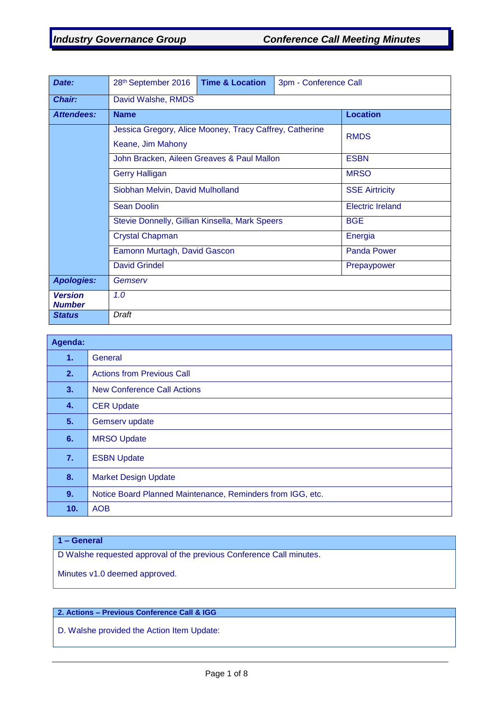| Date:                           | 28th September 2016                                                          | <b>Time &amp; Location</b> | 3pm - Conference Call |                    |  |
|---------------------------------|------------------------------------------------------------------------------|----------------------------|-----------------------|--------------------|--|
| <b>Chair:</b>                   | David Walshe, RMDS                                                           |                            |                       |                    |  |
| <b>Attendees:</b>               | <b>Name</b>                                                                  |                            |                       | <b>Location</b>    |  |
|                                 | Jessica Gregory, Alice Mooney, Tracy Caffrey, Catherine<br>Keane, Jim Mahony | <b>RMDS</b>                |                       |                    |  |
|                                 | John Bracken, Aileen Greaves & Paul Mallon                                   | <b>ESBN</b>                |                       |                    |  |
|                                 | <b>Gerry Halligan</b>                                                        | <b>MRSO</b>                |                       |                    |  |
|                                 | Siobhan Melvin, David Mulholland                                             | <b>SSE Airtricity</b>      |                       |                    |  |
|                                 | <b>Sean Doolin</b>                                                           | <b>Electric Ireland</b>    |                       |                    |  |
|                                 | Stevie Donnelly, Gillian Kinsella, Mark Speers                               |                            |                       | <b>BGE</b>         |  |
|                                 | <b>Crystal Chapman</b>                                                       |                            |                       | Energia            |  |
|                                 | Eamonn Murtagh, David Gascon                                                 |                            |                       | <b>Panda Power</b> |  |
|                                 | <b>David Grindel</b><br>Prepaypower                                          |                            |                       |                    |  |
| <b>Apologies:</b>               | Gemserv                                                                      |                            |                       |                    |  |
| <b>Version</b><br><b>Number</b> | 1.0                                                                          |                            |                       |                    |  |
| <b>Status</b>                   | Draft                                                                        |                            |                       |                    |  |

| Agenda: |                                                            |
|---------|------------------------------------------------------------|
| 1.      | General                                                    |
| 2.      | <b>Actions from Previous Call</b>                          |
| 3.      | <b>New Conference Call Actions</b>                         |
| 4.      | <b>CER Update</b>                                          |
| 5.      | Gemserv update                                             |
| 6.      | <b>MRSO Update</b>                                         |
| 7.      | <b>ESBN Update</b>                                         |
| 8.      | <b>Market Design Update</b>                                |
| 9.      | Notice Board Planned Maintenance, Reminders from IGG, etc. |
| 10.     | <b>AOB</b>                                                 |

# **1 – General**

D Walshe requested approval of the previous Conference Call minutes.

Minutes v1.0 deemed approved.

## **2. Actions – Previous Conference Call & IGG**

D. Walshe provided the Action Item Update: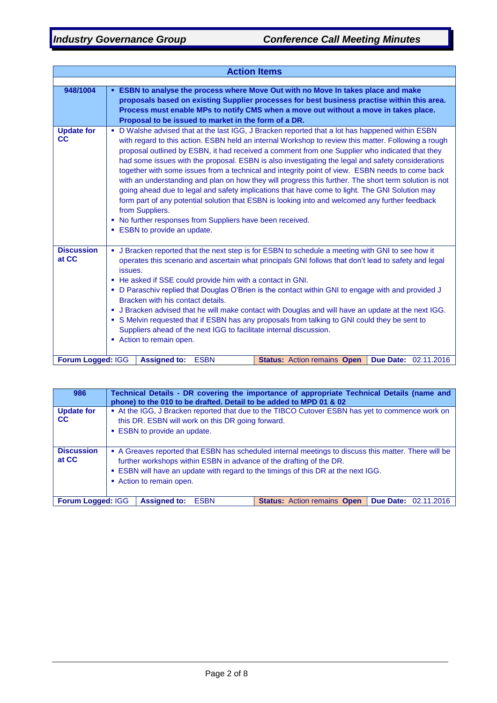| <b>Action Items</b>            |                                                                                                                                                                                                                                                                                                                                                                                                                                                                                                                                                                                                                                                                                                                                                                                                                                                                                                                                                     |  |  |  |  |  |
|--------------------------------|-----------------------------------------------------------------------------------------------------------------------------------------------------------------------------------------------------------------------------------------------------------------------------------------------------------------------------------------------------------------------------------------------------------------------------------------------------------------------------------------------------------------------------------------------------------------------------------------------------------------------------------------------------------------------------------------------------------------------------------------------------------------------------------------------------------------------------------------------------------------------------------------------------------------------------------------------------|--|--|--|--|--|
|                                |                                                                                                                                                                                                                                                                                                                                                                                                                                                                                                                                                                                                                                                                                                                                                                                                                                                                                                                                                     |  |  |  |  |  |
| 948/1004                       | <b>ESBN to analyse the process where Move Out with no Move In takes place and make</b><br>proposals based on existing Supplier processes for best business practise within this area.<br>Process must enable MPs to notify CMS when a move out without a move in takes place.<br>Proposal to be issued to market in the form of a DR.                                                                                                                                                                                                                                                                                                                                                                                                                                                                                                                                                                                                               |  |  |  |  |  |
| <b>Update for</b><br><b>CC</b> | • D Walshe advised that at the last IGG, J Bracken reported that a lot has happened within ESBN<br>with regard to this action. ESBN held an internal Workshop to review this matter. Following a rough<br>proposal outlined by ESBN, it had received a comment from one Supplier who indicated that they<br>had some issues with the proposal. ESBN is also investigating the legal and safety considerations<br>together with some issues from a technical and integrity point of view. ESBN needs to come back<br>with an understanding and plan on how they will progress this further. The short term solution is not<br>going ahead due to legal and safety implications that have come to light. The GNI Solution may<br>form part of any potential solution that ESBN is looking into and welcomed any further feedback<br>from Suppliers.<br>• No further responses from Suppliers have been received.<br><b>ESBN</b> to provide an update. |  |  |  |  |  |
| <b>Discussion</b><br>at CC     | • J Bracken reported that the next step is for ESBN to schedule a meeting with GNI to see how it<br>operates this scenario and ascertain what principals GNI follows that don't lead to safety and legal<br>issues.<br>• He asked if SSE could provide him with a contact in GNI.<br>. D Paraschiv replied that Douglas O'Brien is the contact within GNI to engage with and provided J<br>Bracken with his contact details.<br>• J Bracken advised that he will make contact with Douglas and will have an update at the next IGG.<br>• S Melvin requested that if ESBN has any proposals from talking to GNI could they be sent to<br>Suppliers ahead of the next IGG to facilitate internal discussion.<br>Action to remain open.                                                                                                                                                                                                                |  |  |  |  |  |
| Forum Logged: IGG              | <b>Assigned to:</b><br><b>ESBN</b><br><b>Status: Action remains Open</b><br><b>Due Date: 02.11.2016</b>                                                                                                                                                                                                                                                                                                                                                                                                                                                                                                                                                                                                                                                                                                                                                                                                                                             |  |  |  |  |  |

| 986                            | Technical Details - DR covering the importance of appropriate Technical Details (name and<br>phone) to the 010 to be drafted. Detail to be added to MPD 01 & 02                                                                                                                              |  |  |  |  |
|--------------------------------|----------------------------------------------------------------------------------------------------------------------------------------------------------------------------------------------------------------------------------------------------------------------------------------------|--|--|--|--|
| <b>Update for</b><br><b>CC</b> | • At the IGG, J Bracken reported that due to the TIBCO Cutover ESBN has yet to commence work on<br>this DR. ESBN will work on this DR going forward.<br>• ESBN to provide an update.                                                                                                         |  |  |  |  |
| <b>Discussion</b><br>at CC     | • A Greaves reported that ESBN has scheduled internal meetings to discuss this matter. There will be<br>further workshops within ESBN in advance of the drafting of the DR.<br>. ESBN will have an update with regard to the timings of this DR at the next IGG.<br>• Action to remain open. |  |  |  |  |
|                                | <b>Assigned to:</b><br><b>Due Date: 02.11.2016</b><br>Forum Logged: IGG<br><b>Status: Action remains Open</b><br><b>ESBN</b>                                                                                                                                                                 |  |  |  |  |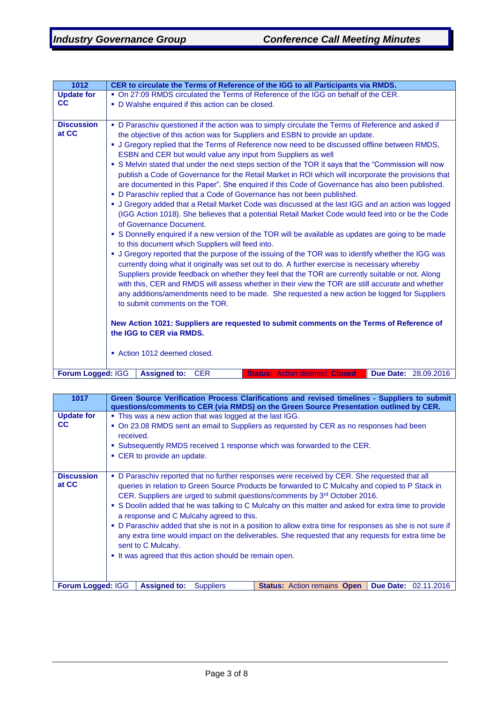| 1012                       | CER to circulate the Terms of Reference of the IGG to all Participants via RMDS.                                                                                                                                                                                                                                                                                                                                                                                                                                                                                                                                                                                                                                                                                                                                                                                                                                                                                                                                                                                                                                                                                                                                                                                                                                                                                                                                                                                                                                                                                                                                                                                                                                                                                                                                                                                  |  |  |  |  |  |  |
|----------------------------|-------------------------------------------------------------------------------------------------------------------------------------------------------------------------------------------------------------------------------------------------------------------------------------------------------------------------------------------------------------------------------------------------------------------------------------------------------------------------------------------------------------------------------------------------------------------------------------------------------------------------------------------------------------------------------------------------------------------------------------------------------------------------------------------------------------------------------------------------------------------------------------------------------------------------------------------------------------------------------------------------------------------------------------------------------------------------------------------------------------------------------------------------------------------------------------------------------------------------------------------------------------------------------------------------------------------------------------------------------------------------------------------------------------------------------------------------------------------------------------------------------------------------------------------------------------------------------------------------------------------------------------------------------------------------------------------------------------------------------------------------------------------------------------------------------------------------------------------------------------------|--|--|--|--|--|--|
| <b>Update for</b>          | . On 27:09 RMDS circulated the Terms of Reference of the IGG on behalf of the CER.                                                                                                                                                                                                                                                                                                                                                                                                                                                                                                                                                                                                                                                                                                                                                                                                                                                                                                                                                                                                                                                                                                                                                                                                                                                                                                                                                                                                                                                                                                                                                                                                                                                                                                                                                                                |  |  |  |  |  |  |
| cc                         | • D Walshe enquired if this action can be closed.                                                                                                                                                                                                                                                                                                                                                                                                                                                                                                                                                                                                                                                                                                                                                                                                                                                                                                                                                                                                                                                                                                                                                                                                                                                                                                                                                                                                                                                                                                                                                                                                                                                                                                                                                                                                                 |  |  |  |  |  |  |
|                            |                                                                                                                                                                                                                                                                                                                                                                                                                                                                                                                                                                                                                                                                                                                                                                                                                                                                                                                                                                                                                                                                                                                                                                                                                                                                                                                                                                                                                                                                                                                                                                                                                                                                                                                                                                                                                                                                   |  |  |  |  |  |  |
| <b>Discussion</b><br>at CC | • D Paraschiv questioned if the action was to simply circulate the Terms of Reference and asked if<br>the objective of this action was for Suppliers and ESBN to provide an update.<br>• J Gregory replied that the Terms of Reference now need to be discussed offline between RMDS,<br>ESBN and CER but would value any input from Suppliers as well<br>• S Melvin stated that under the next steps section of the TOR it says that the "Commission will now<br>publish a Code of Governance for the Retail Market in ROI which will incorporate the provisions that<br>are documented in this Paper". She enquired if this Code of Governance has also been published.<br>• D Paraschiv replied that a Code of Governance has not been published.<br>• J Gregory added that a Retail Market Code was discussed at the last IGG and an action was logged<br>(IGG Action 1018). She believes that a potential Retail Market Code would feed into or be the Code<br>of Governance Document.<br>• S Donnelly enquired if a new version of the TOR will be available as updates are going to be made<br>to this document which Suppliers will feed into.<br>• J Gregory reported that the purpose of the issuing of the TOR was to identify whether the IGG was<br>currently doing what it originally was set out to do. A further exercise is necessary whereby<br>Suppliers provide feedback on whether they feel that the TOR are currently suitable or not. Along<br>with this, CER and RMDS will assess whether in their view the TOR are still accurate and whether<br>any additions/amendments need to be made. She requested a new action be logged for Suppliers<br>to submit comments on the TOR.<br>New Action 1021: Suppliers are requested to submit comments on the Terms of Reference of<br>the IGG to CER via RMDS.<br>• Action 1012 deemed closed. |  |  |  |  |  |  |
|                            |                                                                                                                                                                                                                                                                                                                                                                                                                                                                                                                                                                                                                                                                                                                                                                                                                                                                                                                                                                                                                                                                                                                                                                                                                                                                                                                                                                                                                                                                                                                                                                                                                                                                                                                                                                                                                                                                   |  |  |  |  |  |  |
| Forum Logged: IGG          | <b>Assigned to:</b><br><b>CER</b><br>Due Date: 28.09.2016<br><b>Status: Action deemed Closed</b>                                                                                                                                                                                                                                                                                                                                                                                                                                                                                                                                                                                                                                                                                                                                                                                                                                                                                                                                                                                                                                                                                                                                                                                                                                                                                                                                                                                                                                                                                                                                                                                                                                                                                                                                                                  |  |  |  |  |  |  |

| 1017                           | Green Source Verification Process Clarifications and revised timelines - Suppliers to submit<br>questions/comments to CER (via RMDS) on the Green Source Presentation outlined by CER.                                                                                                                                                                                                                                                                                                                                                                                                                                                                                                                                                             |  |  |  |  |  |
|--------------------------------|----------------------------------------------------------------------------------------------------------------------------------------------------------------------------------------------------------------------------------------------------------------------------------------------------------------------------------------------------------------------------------------------------------------------------------------------------------------------------------------------------------------------------------------------------------------------------------------------------------------------------------------------------------------------------------------------------------------------------------------------------|--|--|--|--|--|
| <b>Update for</b><br><b>CC</b> | • This was a new action that was logged at the last IGG.<br>• On 23.08 RMDS sent an email to Suppliers as requested by CER as no responses had been                                                                                                                                                                                                                                                                                                                                                                                                                                                                                                                                                                                                |  |  |  |  |  |
|                                | received.<br>. Subsequently RMDS received 1 response which was forwarded to the CER.                                                                                                                                                                                                                                                                                                                                                                                                                                                                                                                                                                                                                                                               |  |  |  |  |  |
|                                | • CER to provide an update.                                                                                                                                                                                                                                                                                                                                                                                                                                                                                                                                                                                                                                                                                                                        |  |  |  |  |  |
| <b>Discussion</b><br>at CC     | • D Paraschiv reported that no further responses were received by CER. She requested that all<br>queries in relation to Green Source Products be forwarded to C Mulcahy and copied to P Stack in<br>CER. Suppliers are urged to submit questions/comments by 3 <sup>rd</sup> October 2016.<br>• S Doolin added that he was talking to C Mulcahy on this matter and asked for extra time to provide<br>a response and C Mulcahy agreed to this.<br>• D Paraschiv added that she is not in a position to allow extra time for responses as she is not sure if<br>any extra time would impact on the deliverables. She requested that any requests for extra time be<br>sent to C Mulcahy.<br>• It was agreed that this action should be remain open. |  |  |  |  |  |
| Forum Logged: IGG              | <b>Assigned to:</b><br><b>Due Date:</b><br><b>Status: Action remains Open</b><br><b>Suppliers</b><br>02.11.2016                                                                                                                                                                                                                                                                                                                                                                                                                                                                                                                                                                                                                                    |  |  |  |  |  |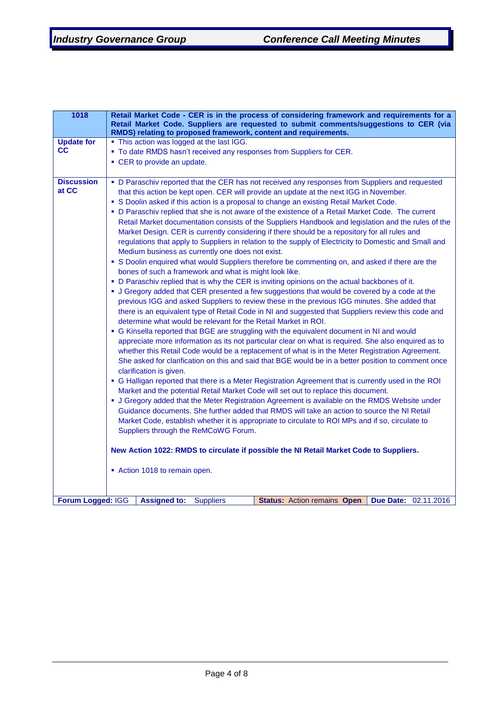| 1018              | Retail Market Code - CER is in the process of considering framework and requirements for a                                                                           |  |  |  |  |  |
|-------------------|----------------------------------------------------------------------------------------------------------------------------------------------------------------------|--|--|--|--|--|
|                   | Retail Market Code. Suppliers are requested to submit comments/suggestions to CER (via<br>RMDS) relating to proposed framework, content and requirements.            |  |  |  |  |  |
| <b>Update for</b> | • This action was logged at the last IGG.                                                                                                                            |  |  |  |  |  |
| СC                | . To date RMDS hasn't received any responses from Suppliers for CER.                                                                                                 |  |  |  |  |  |
|                   | • CER to provide an update.                                                                                                                                          |  |  |  |  |  |
|                   |                                                                                                                                                                      |  |  |  |  |  |
| <b>Discussion</b> | • D Paraschiv reported that the CER has not received any responses from Suppliers and requested                                                                      |  |  |  |  |  |
| at CC             | that this action be kept open. CER will provide an update at the next IGG in November.                                                                               |  |  |  |  |  |
|                   | • S Doolin asked if this action is a proposal to change an existing Retail Market Code.                                                                              |  |  |  |  |  |
|                   | • D Paraschiv replied that she is not aware of the existence of a Retail Market Code. The current                                                                    |  |  |  |  |  |
|                   | Retail Market documentation consists of the Suppliers Handbook and legislation and the rules of the                                                                  |  |  |  |  |  |
|                   | Market Design. CER is currently considering if there should be a repository for all rules and                                                                        |  |  |  |  |  |
|                   | regulations that apply to Suppliers in relation to the supply of Electricity to Domestic and Small and                                                               |  |  |  |  |  |
|                   | Medium business as currently one does not exist.                                                                                                                     |  |  |  |  |  |
|                   | • S Doolin enquired what would Suppliers therefore be commenting on, and asked if there are the                                                                      |  |  |  |  |  |
|                   | bones of such a framework and what is might look like.                                                                                                               |  |  |  |  |  |
|                   | • D Paraschiv replied that is why the CER is inviting opinions on the actual backbones of it.                                                                        |  |  |  |  |  |
|                   | • J Gregory added that CER presented a few suggestions that would be covered by a code at the                                                                        |  |  |  |  |  |
|                   | previous IGG and asked Suppliers to review these in the previous IGG minutes. She added that                                                                         |  |  |  |  |  |
|                   | there is an equivalent type of Retail Code in NI and suggested that Suppliers review this code and<br>determine what would be relevant for the Retail Market in ROI. |  |  |  |  |  |
|                   | • G Kinsella reported that BGE are struggling with the equivalent document in NI and would                                                                           |  |  |  |  |  |
|                   | appreciate more information as its not particular clear on what is required. She also enquired as to                                                                 |  |  |  |  |  |
|                   | whether this Retail Code would be a replacement of what is in the Meter Registration Agreement.                                                                      |  |  |  |  |  |
|                   | She asked for clarification on this and said that BGE would be in a better position to comment once                                                                  |  |  |  |  |  |
|                   | clarification is given.                                                                                                                                              |  |  |  |  |  |
|                   | • G Halligan reported that there is a Meter Registration Agreement that is currently used in the ROI                                                                 |  |  |  |  |  |
|                   | Market and the potential Retail Market Code will set out to replace this document.                                                                                   |  |  |  |  |  |
|                   | • J Gregory added that the Meter Registration Agreement is available on the RMDS Website under                                                                       |  |  |  |  |  |
|                   | Guidance documents. She further added that RMDS will take an action to source the NI Retail                                                                          |  |  |  |  |  |
|                   | Market Code, establish whether it is appropriate to circulate to ROI MPs and if so, circulate to                                                                     |  |  |  |  |  |
|                   | Suppliers through the ReMCoWG Forum.                                                                                                                                 |  |  |  |  |  |
|                   | New Action 1022: RMDS to circulate if possible the NI Retail Market Code to Suppliers.                                                                               |  |  |  |  |  |
|                   |                                                                                                                                                                      |  |  |  |  |  |
|                   | Action 1018 to remain open.                                                                                                                                          |  |  |  |  |  |
|                   |                                                                                                                                                                      |  |  |  |  |  |
|                   |                                                                                                                                                                      |  |  |  |  |  |
| Forum Logged: IGG | <b>Assigned to:</b><br>Due Date: 02.11.2016<br><b>Suppliers</b><br><b>Status: Action remains Open</b>                                                                |  |  |  |  |  |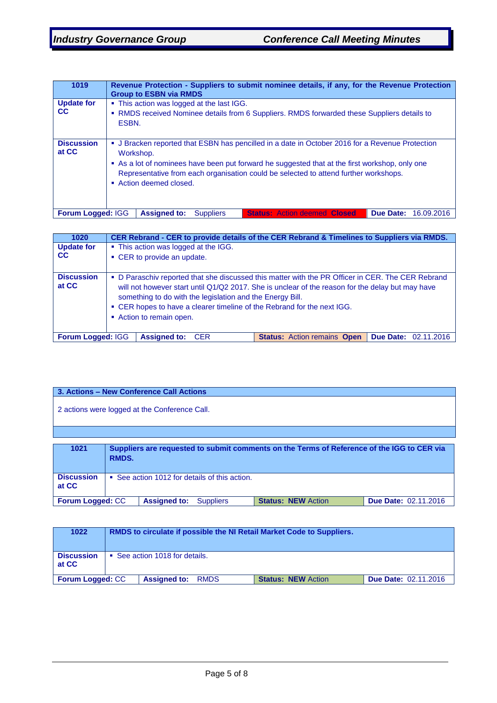| 1019                       | Revenue Protection - Suppliers to submit nominee details, if any, for the Revenue Protection<br><b>Group to ESBN via RMDS</b>                                                                                     |  |  |  |  |  |  |
|----------------------------|-------------------------------------------------------------------------------------------------------------------------------------------------------------------------------------------------------------------|--|--|--|--|--|--|
| <b>Update for</b><br>CC.   | • This action was logged at the last IGG.<br>• RMDS received Nominee details from 6 Suppliers. RMDS forwarded these Suppliers details to                                                                          |  |  |  |  |  |  |
|                            | ESBN.                                                                                                                                                                                                             |  |  |  |  |  |  |
| <b>Discussion</b><br>at CC | • J Bracken reported that ESBN has pencilled in a date in October 2016 for a Revenue Protection<br>Workshop.                                                                                                      |  |  |  |  |  |  |
|                            | • As a lot of nominees have been put forward he suggested that at the first workshop, only one<br>Representative from each organisation could be selected to attend further workshops.<br>• Action deemed closed. |  |  |  |  |  |  |
| <b>Forum Logged: IGG</b>   | <b>Assigned to:</b><br><b>Status: Action deemed Closed</b><br><b>Due Date: 16.09.2016</b><br><b>Suppliers</b>                                                                                                     |  |  |  |  |  |  |

| 1020                           | CER Rebrand - CER to provide details of the CER Rebrand & Timelines to Suppliers via RMDS.                                                                                                                                                                                                                                                                              |                                    |                             |  |  |  |
|--------------------------------|-------------------------------------------------------------------------------------------------------------------------------------------------------------------------------------------------------------------------------------------------------------------------------------------------------------------------------------------------------------------------|------------------------------------|-----------------------------|--|--|--|
| <b>Update for</b><br><b>CC</b> | • This action was logged at the IGG.<br>• CER to provide an update.                                                                                                                                                                                                                                                                                                     |                                    |                             |  |  |  |
| <b>Discussion</b><br>at CC     | • D Paraschiv reported that she discussed this matter with the PR Officer in CER. The CER Rebrand<br>will not however start until Q1/Q2 2017. She is unclear of the reason for the delay but may have<br>something to do with the legislation and the Energy Bill.<br>• CER hopes to have a clearer timeline of the Rebrand for the next IGG.<br>Action to remain open. |                                    |                             |  |  |  |
| <b>Forum Logged: IGG</b>       | <b>Assigned to:</b><br><b>CER</b>                                                                                                                                                                                                                                                                                                                                       | <b>Status: Action remains Open</b> | <b>Due Date: 02.11.2016</b> |  |  |  |

| 3. Actions - New Conference Call Actions                                                                         |                                                                                                     |  |  |  |  |
|------------------------------------------------------------------------------------------------------------------|-----------------------------------------------------------------------------------------------------|--|--|--|--|
| 2 actions were logged at the Conference Call.                                                                    |                                                                                                     |  |  |  |  |
|                                                                                                                  |                                                                                                     |  |  |  |  |
| 1021                                                                                                             |                                                                                                     |  |  |  |  |
|                                                                                                                  | Suppliers are requested to submit comments on the Terms of Reference of the IGG to CER via<br>RMDS. |  |  |  |  |
| <b>Discussion</b><br>• See action 1012 for details of this action.<br>at CC                                      |                                                                                                     |  |  |  |  |
| Due Date: 02.11.2016<br>Forum Logged: CC<br><b>Assigned to:</b><br><b>Status: NEW Action</b><br><b>Suppliers</b> |                                                                                                     |  |  |  |  |

| 1022                                                                                                               | RMDS to circulate if possible the NI Retail Market Code to Suppliers. |  |  |  |  |
|--------------------------------------------------------------------------------------------------------------------|-----------------------------------------------------------------------|--|--|--|--|
| <b>Discussion</b><br>at CC                                                                                         | • See action 1018 for details.                                        |  |  |  |  |
| <b>Due Date: 02.11.2016</b><br><b>Forum Logged: CC</b><br><b>Status: NEW Action</b><br><b>Assigned to:</b><br>RMDS |                                                                       |  |  |  |  |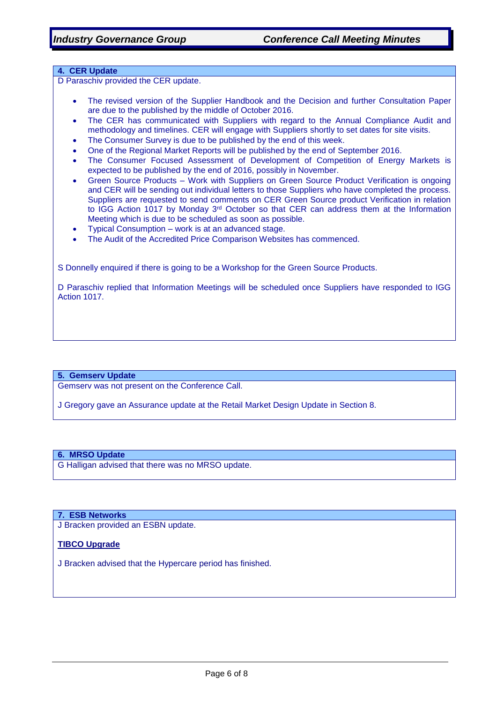### **4. CER Update**

D Paraschiv provided the CER update.

- The revised version of the Supplier Handbook and the Decision and further Consultation Paper are due to the published by the middle of October 2016.
- The CER has communicated with Suppliers with regard to the Annual Compliance Audit and methodology and timelines. CER will engage with Suppliers shortly to set dates for site visits.
- The Consumer Survey is due to be published by the end of this week.
- One of the Regional Market Reports will be published by the end of September 2016.
- The Consumer Focused Assessment of Development of Competition of Energy Markets is expected to be published by the end of 2016, possibly in November.
- Green Source Products Work with Suppliers on Green Source Product Verification is ongoing and CER will be sending out individual letters to those Suppliers who have completed the process. Suppliers are requested to send comments on CER Green Source product Verification in relation to IGG Action 1017 by Monday 3<sup>rd</sup> October so that CER can address them at the Information Meeting which is due to be scheduled as soon as possible.
- Typical Consumption work is at an advanced stage.
- The Audit of the Accredited Price Comparison Websites has commenced.

S Donnelly enquired if there is going to be a Workshop for the Green Source Products.

D Paraschiv replied that Information Meetings will be scheduled once Suppliers have responded to IGG Action 1017.

#### **5. Gemserv Update**

Gemserv was not present on the Conference Call.

J Gregory gave an Assurance update at the Retail Market Design Update in Section 8.

### **6. MRSO Update**

G Halligan advised that there was no MRSO update.

#### **7. ESB Networks**

J Bracken provided an ESBN update.

### **TIBCO Upgrade**

J Bracken advised that the Hypercare period has finished.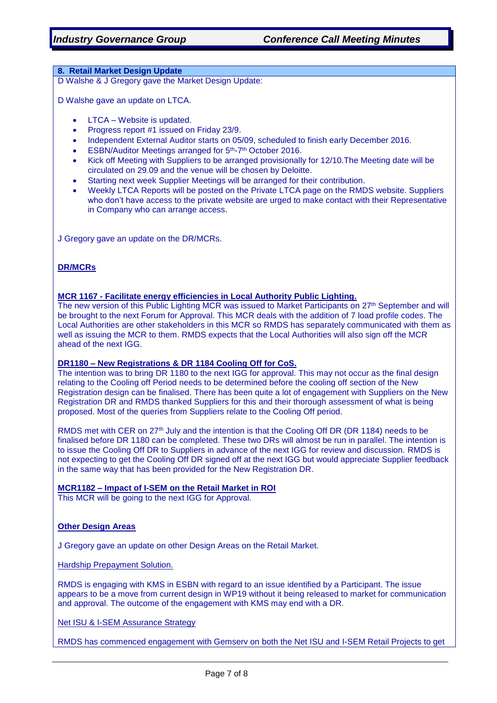### **8. Retail Market Design Update**

D Walshe & J Gregory gave the Market Design Update:

D Walshe gave an update on LTCA.

- LTCA Website is updated.
- Progress report #1 issued on Friday 23/9.
- Independent External Auditor starts on 05/09, scheduled to finish early December 2016.
- ESBN/Auditor Meetings arranged for 5<sup>th</sup>-7<sup>th</sup> October 2016.
- Kick off Meeting with Suppliers to be arranged provisionally for 12/10. The Meeting date will be circulated on 29.09 and the venue will be chosen by Deloitte.
- Starting next week Supplier Meetings will be arranged for their contribution.
- Weekly LTCA Reports will be posted on the Private LTCA page on the RMDS website. Suppliers who don't have access to the private website are urged to make contact with their Representative in Company who can arrange access.

J Gregory gave an update on the DR/MCRs.

### **DR/MCRs**

#### **MCR 1167 - Facilitate energy efficiencies in Local Authority Public Lighting.**

The new version of this Public Lighting MCR was issued to Market Participants on 27<sup>th</sup> September and will be brought to the next Forum for Approval. This MCR deals with the addition of 7 load profile codes. The Local Authorities are other stakeholders in this MCR so RMDS has separately communicated with them as well as issuing the MCR to them. RMDS expects that the Local Authorities will also sign off the MCR ahead of the next IGG.

#### **DR1180 – New Registrations & DR 1184 Cooling Off for CoS.**

The intention was to bring DR 1180 to the next IGG for approval. This may not occur as the final design relating to the Cooling off Period needs to be determined before the cooling off section of the New Registration design can be finalised. There has been quite a lot of engagement with Suppliers on the New Registration DR and RMDS thanked Suppliers for this and their thorough assessment of what is being proposed. Most of the queries from Suppliers relate to the Cooling Off period.

RMDS met with CER on 27<sup>th</sup> July and the intention is that the Cooling Off DR (DR 1184) needs to be finalised before DR 1180 can be completed. These two DRs will almost be run in parallel. The intention is to issue the Cooling Off DR to Suppliers in advance of the next IGG for review and discussion. RMDS is not expecting to get the Cooling Off DR signed off at the next IGG but would appreciate Supplier feedback in the same way that has been provided for the New Registration DR.

#### **MCR1182 – Impact of I-SEM on the Retail Market in ROI**

This MCR will be going to the next IGG for Approval.

### **Other Design Areas**

J Gregory gave an update on other Design Areas on the Retail Market.

Hardship Prepayment Solution.

RMDS is engaging with KMS in ESBN with regard to an issue identified by a Participant. The issue appears to be a move from current design in WP19 without it being released to market for communication and approval. The outcome of the engagement with KMS may end with a DR.

Net ISU & I-SEM Assurance Strategy

RMDS has commenced engagement with Gemserv on both the Net ISU and I-SEM Retail Projects to get